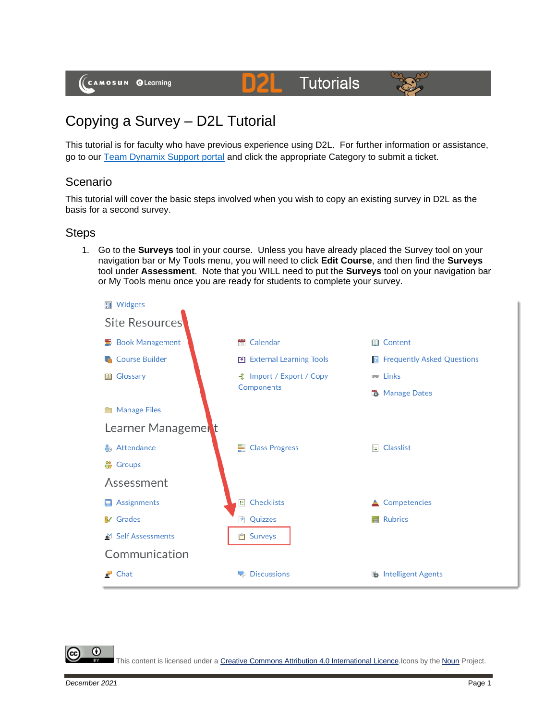(CAMOSUN @Learning

# **Tutorials**



## Copying a Survey – D2L Tutorial

This tutorial is for faculty who have previous experience using D2L. For further information or assistance, go to our [Team Dynamix Support portal](https://camosun.teamdynamix.com/TDClient/67/Portal/Requests/ServiceCatalog?CategoryID=523) and click the appropriate Category to submit a ticket.

D21

### Scenario

This tutorial will cover the basic steps involved when you wish to copy an existing survey in D2L as the basis for a second survey.

### Steps

1. Go to the **Surveys** tool in your course. Unless you have already placed the Survey tool on your navigation bar or My Tools menu, you will need to click **Edit Course**, and then find the **Surveys** tool under **Assessment**. Note that you WILL need to put the **Surveys** tool on your navigation bar or My Tools menu once you are ready for students to complete your survey.



G

This content is licensed under [a Creative Commons Attribution 4.0 International Licence.I](https://creativecommons.org/licenses/by/4.0/)cons by the [Noun](https://creativecommons.org/website-icons/) Project.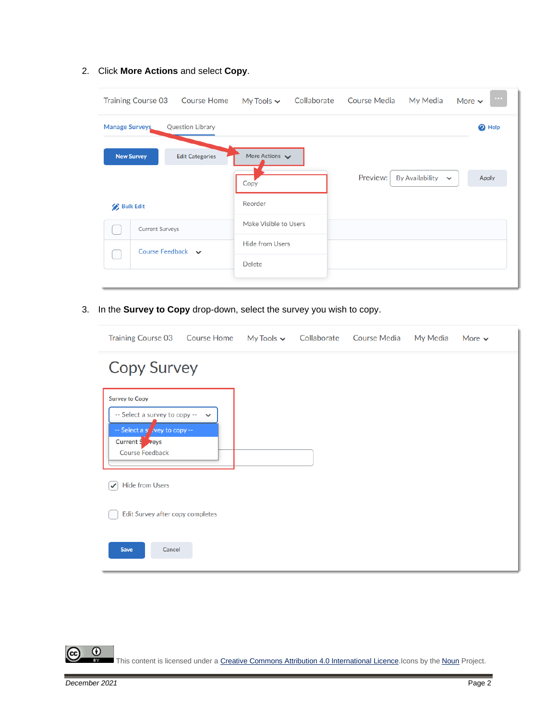#### **Training Course 03** Course Media **Course Home** My Tools  $\sim$ Collaborate My Media More **Manage Surveys** Question Library  $\odot$  Help **Edit Categories New Survey** More Actions  $\blacktriangleright$ Preview: **By Availability** Apply  $\checkmark$ Copy Reorder **Bulk Edit** Make Visible to Users ∩ Current Surveys Hide from Users Course Feedback v ∩ Delete

#### 2. Click **More Actions** and select **Copy**.

3. In the **Survey to Copy** drop-down, select the survey you wish to copy.

| Training Course 03 Course Home                                                                                                                 |              | My Tools $\sim$ | Collaborate Course Media | My Media | More $\sim$ |
|------------------------------------------------------------------------------------------------------------------------------------------------|--------------|-----------------|--------------------------|----------|-------------|
| <b>Copy Survey</b>                                                                                                                             |              |                 |                          |          |             |
| <b>Survey to Copy</b><br>-- Select a survey to copy --<br>-- Select a s' vey to copy --<br>Current S <sub>veys</sub><br><b>Course Feedback</b> | $\checkmark$ |                 |                          |          |             |
| <b>Hide from Users</b><br>$\checkmark$                                                                                                         |              |                 |                          |          |             |
| Edit Survey after copy completes                                                                                                               |              |                 |                          |          |             |
| <b>Save</b><br>Cancel                                                                                                                          |              |                 |                          |          |             |

This content is licensed under [a Creative Commons Attribution 4.0 International Licence.I](https://creativecommons.org/licenses/by/4.0/)cons by the [Noun](https://creativecommons.org/website-icons/) Project.

 $\odot$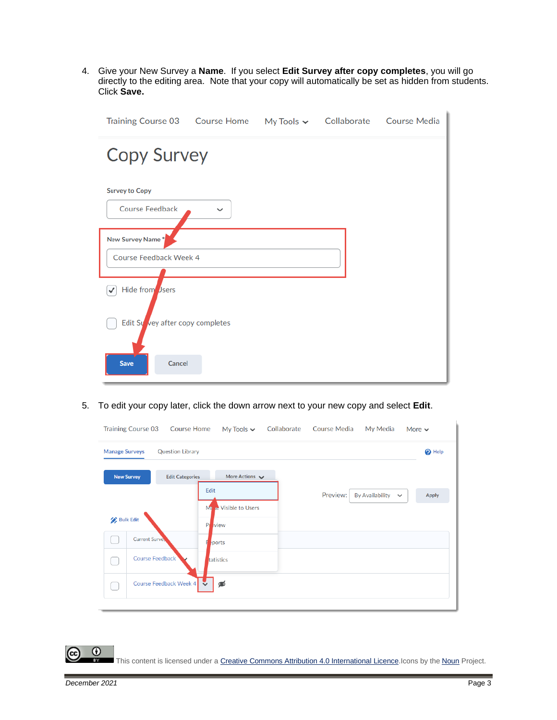4. Give your New Survey a **Name**. If you select **Edit Survey after copy completes**, you will go directly to the editing area. Note that your copy will automatically be set as hidden from students. Click **Save.**

| Training Course 03  Course Home   My Tools v   Collaborate   Course Media |              |  |  |
|---------------------------------------------------------------------------|--------------|--|--|
| <b>Copy Survey</b>                                                        |              |  |  |
| <b>Survey to Copy</b><br><b>Course Feedback</b>                           | $\checkmark$ |  |  |
| New Survey Name*                                                          |              |  |  |
| Course Feedback Week 4                                                    |              |  |  |
| Hide from Users                                                           |              |  |  |
| Edit Su vey after copy completes                                          |              |  |  |
| <b>Save</b><br>Cancel                                                     |              |  |  |

5. To edit your copy later, click the down arrow next to your new copy and select **Edit**.

| <b>Training Course 03</b><br><b>Course Home</b>  | My Tools $\sim$                                 | Collaborate | <b>Course Media</b> | My Media                              | More $\sim$       |
|--------------------------------------------------|-------------------------------------------------|-------------|---------------------|---------------------------------------|-------------------|
| <b>Question Library</b><br><b>Manage Surveys</b> |                                                 |             |                     |                                       | <sup>O</sup> Help |
| <b>New Survey</b><br><b>Edit Categories</b>      | More Actions<br>Edit                            |             | Preview:            | <b>By Availability</b><br>$\check{~}$ | <b>Apply</b>      |
| <b>Bulk Edit</b>                                 | Make Visible to Users<br>P <sub>1</sub><br>view |             |                     |                                       |                   |
| Current Survey                                   | ports<br>F                                      |             |                     |                                       |                   |
| <b>Course Feedback</b>                           | tatistics                                       |             |                     |                                       |                   |
| Course Feedback Week $4 \times 4$                | ∲                                               |             |                     |                                       |                   |
|                                                  |                                                 |             |                     |                                       |                   |

 $\overline{0}$ This content is licensed under [a Creative Commons Attribution 4.0 International Licence.I](https://creativecommons.org/licenses/by/4.0/)cons by the [Noun](https://creativecommons.org/website-icons/) Project.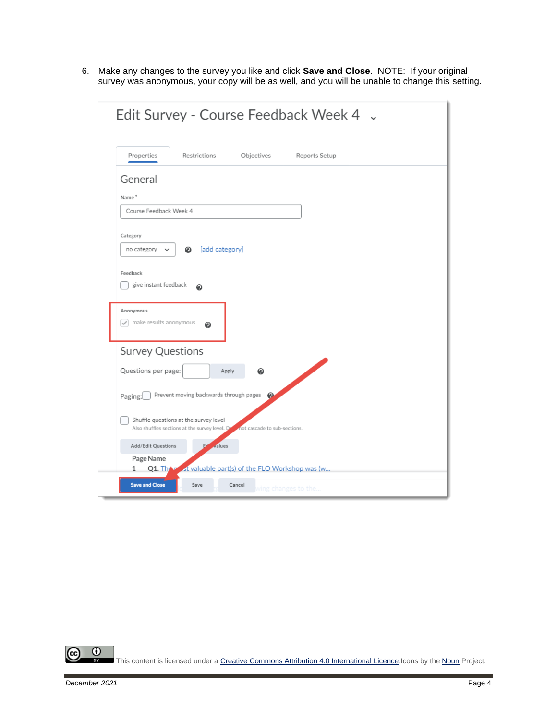6. Make any changes to the survey you like and click **Save and Close**. NOTE: If your original survey was anonymous, your copy will be as well, and you will be unable to change this setting.

| Edit Survey - Course Feedback Week 4 .                                                                                           |  |  |  |  |  |  |
|----------------------------------------------------------------------------------------------------------------------------------|--|--|--|--|--|--|
| Properties<br>Restrictions<br>Objectives<br>Reports Setup                                                                        |  |  |  |  |  |  |
| General<br>Name*<br>Course Feedback Week 4                                                                                       |  |  |  |  |  |  |
| Category<br>[add category]<br>no category $\sim$<br>๏                                                                            |  |  |  |  |  |  |
| Feedback<br>give instant feedback<br>⋒                                                                                           |  |  |  |  |  |  |
| Anonymous<br>make results anonymous<br>✓<br>⋒                                                                                    |  |  |  |  |  |  |
| <b>Survey Questions</b>                                                                                                          |  |  |  |  |  |  |
| Questions per page:<br>ℯ<br>Apply                                                                                                |  |  |  |  |  |  |
| Prevent moving backwards through pages<br>Paging:<br>◉                                                                           |  |  |  |  |  |  |
| Shuffle questions at the survey level<br>Also shuffles sections at the survey level. Do<br>not cascade to sub-sections.          |  |  |  |  |  |  |
| Add/Edit Questions<br>EA<br>values                                                                                               |  |  |  |  |  |  |
| Page Name                                                                                                                        |  |  |  |  |  |  |
| st valuable part(s) of the FLO Workshop was (w<br>Q1. Thf<br>1<br><b>Save and Close</b><br>Save<br>Cancel<br>ving changes to the |  |  |  |  |  |  |

 $\overline{\odot}$ (cc This content is licensed under [a Creative Commons Attribution 4.0 International Licence.I](https://creativecommons.org/licenses/by/4.0/)cons by the [Noun](https://creativecommons.org/website-icons/) Project.

÷